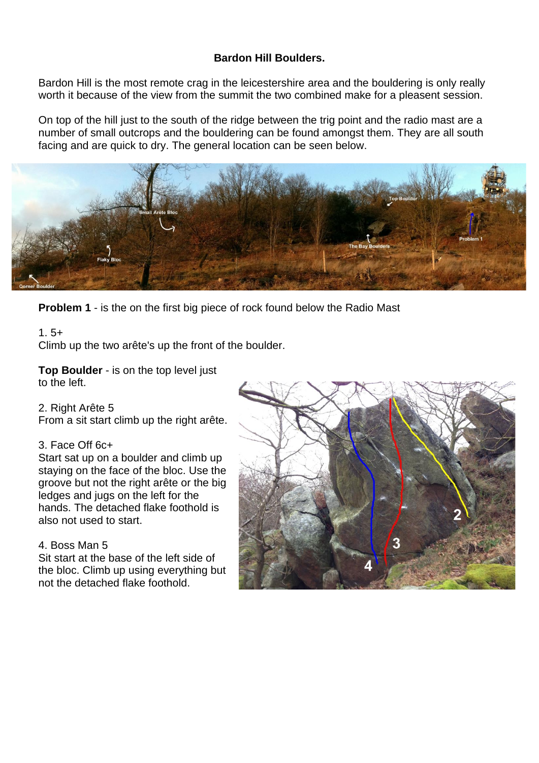# **Bardon Hill Boulders.**

Bardon Hill is the most remote crag in the leicestershire area and the bouldering is only really worth it because of the view from the summit the two combined make for a pleasent session.

On top of the hill just to the south of the ridge between the trig point and the radio mast are a number of small outcrops and the bouldering can be found amongst them. They are all south facing and are quick to dry. The general location can be seen below.



**Problem 1** - is the on the first big piece of rock found below the Radio Mast

# $1.5+$

Climb up the two arête's up the front of the boulder.

**Top Boulder** - is on the top level just to the left.

### 2. Right Arête 5

From a sit start climb up the right arête.

#### 3. Face Off 6c+

Start sat up on a boulder and climb up staying on the face of the bloc. Use the groove but not the right arête or the big ledges and jugs on the left for the hands. The detached flake foothold is also not used to start.

### 4. Boss Man 5

Sit start at the base of the left side of the bloc. Climb up using everything but not the detached flake foothold.

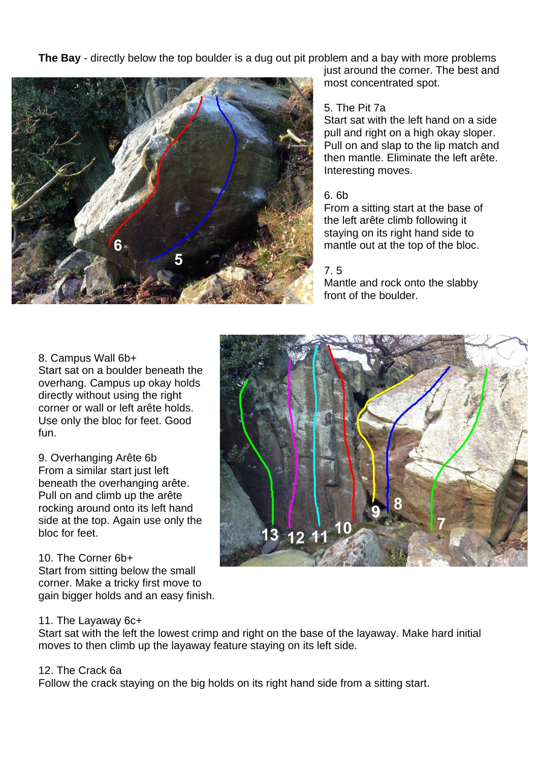**The Bay** - directly below the top boulder is a dug out pit problem and a bay with more problems



just around the corner. The best and most concentrated spot.

# 5. The Pit 7a

Start sat with the left hand on a side pull and right on a high okay sloper. Pull on and slap to the lip match and then mantle. Eliminate the left arête. Interesting moves.

### 6. 6b

From a sitting start at the base of the left arête climb following it staying on its right hand side to mantle out at the top of the bloc.

# 7. 5

Mantle and rock onto the slabby front of the boulder.

#### 8. Campus Wall 6b+

Start sat on a boulder beneath the overhang. Campus up okay holds directly without using the right corner or wall or left arête holds. Use only the bloc for feet. Good fun.

9. Overhanging Arête 6b From a similar start just left beneath the overhanging arête. Pull on and climb up the arête rocking around onto its left hand side at the top. Again use only the bloc for feet.

### 10. The Corner 6b+

Start from sitting below the small corner. Make a tricky first move to gain bigger holds and an easy finish.



# 11. The Layaway 6c+

Start sat with the left the lowest crimp and right on the base of the layaway. Make hard initial moves to then climb up the layaway feature staying on its left side.

# 12. The Crack 6a

Follow the crack staying on the big holds on its right hand side from a sitting start.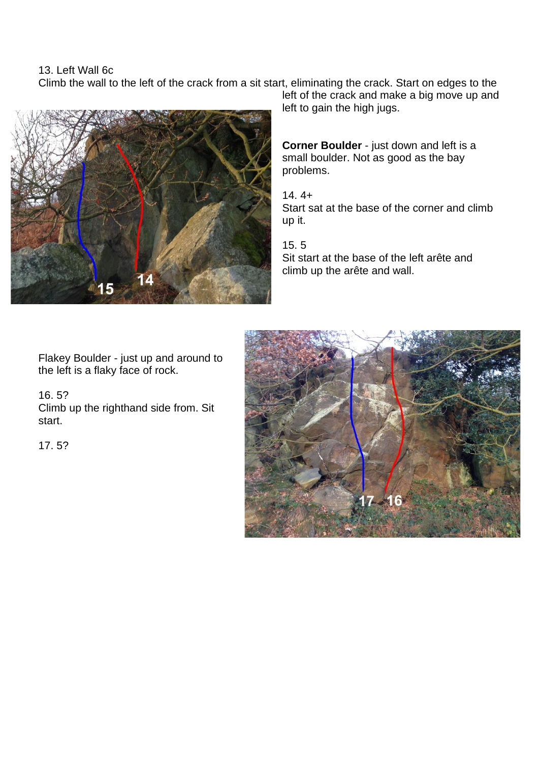13. Left Wall 6c

Climb the wall to the left of the crack from a sit start, eliminating the crack. Start on edges to the



left of the crack and make a big move up and left to gain the high jugs.

**Corner Boulder** - just down and left is a small boulder. Not as good as the bay problems.

 $14.4+$ Start sat at the base of the corner and climb up it.

15. 5 Sit start at the base of the left arête and climb up the arête and wall.

Flakey Boulder - just up and around to the left is a flaky face of rock.

### 16. 5?

Climb up the righthand side from. Sit start.

17. 5?